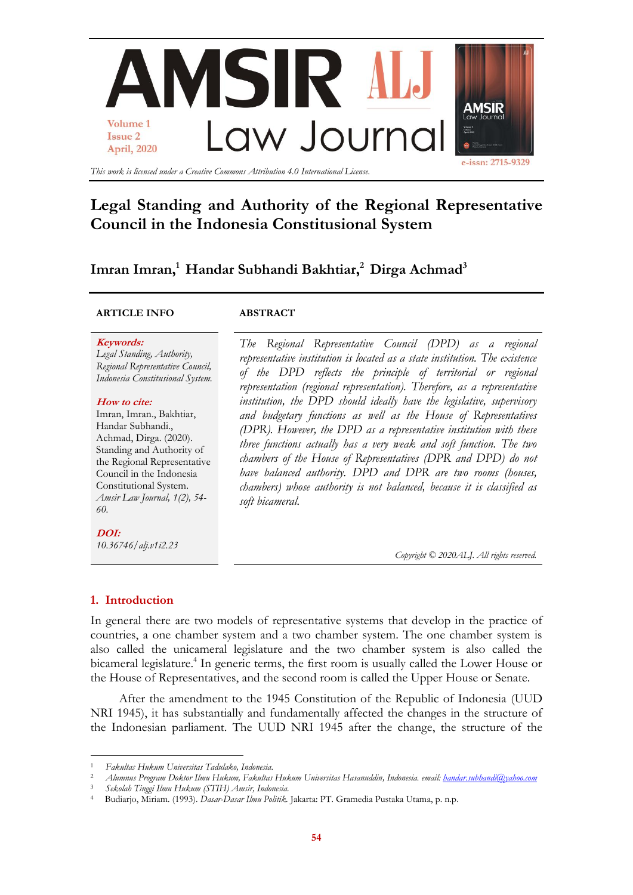

# **Legal Standing and Authority of the Regional Representative Council in the Indonesia Constitusional System**

# **Imran Imran, <sup>1</sup> Handar Subhandi Bakhtiar, <sup>2</sup> Dirga Achmad<sup>3</sup>**

## **ARTICLE INFO ABSTRACT**

#### **Keywords:**

*Legal Standing, Authority, Regional Representative Council, Indonesia Constitusional System.*

#### **How to cite:**

Imran, Imran., Bakhtiar, Handar Subhandi., Achmad, Dirga. (2020). Standing and Authority of the Regional Representative Council in the Indonesia Constitutional System. *Amsir Law Journal, 1(2), 54- 60.*

**DOI:** *10.36746/alj.v1i2.23*

*The Regional Representative Council (DPD) as a regional representative institution is located as a state institution. The existence of the DPD reflects the principle of territorial or regional representation (regional representation). Therefore, as a representative institution, the DPD should ideally have the legislative, supervisory and budgetary functions as well as the House of Representatives (DPR). However, the DPD as a representative institution with these three functions actually has a very weak and soft function. The two chambers of the House of Representatives (DPR and DPD) do not have balanced authority. DPD and DPR are two rooms (houses, chambers) whose authority is not balanced, because it is classified as soft bicameral.* 

*Copyright © 2020ALJ. All rights reserved.*

## **1. Introduction**

**.** 

In general there are two models of representative systems that develop in the practice of countries, a one chamber system and a two chamber system. The one chamber system is also called the unicameral legislature and the two chamber system is also called the bicameral legislature. 4 In generic terms, the first room is usually called the Lower House or the House of Representatives, and the second room is called the Upper House or Senate.

After the amendment to the 1945 Constitution of the Republic of Indonesia (UUD NRI 1945), it has substantially and fundamentally affected the changes in the structure of the Indonesian parliament. The UUD NRI 1945 after the change, the structure of the

<sup>1</sup> *Fakultas Hukum Universitas Tadulako, Indonesia.*

<sup>2</sup> *Alumnus Program Doktor Ilmu Hukum, Fakultas Hukum Universitas Hasanuddin, Indonesia. email: [handar.subhandi@yahoo.com](mailto:handar.subhandi@yahoo.com)*

<sup>3</sup> *Sekolah Tinggi Ilmu Hukum (STIH) Amsir, Indonesia.*

<sup>4</sup> Budiarjo, Miriam. (1993). *Dasar-Dasar Ilmu Politik.* Jakarta: PT. Gramedia Pustaka Utama, p. n.p.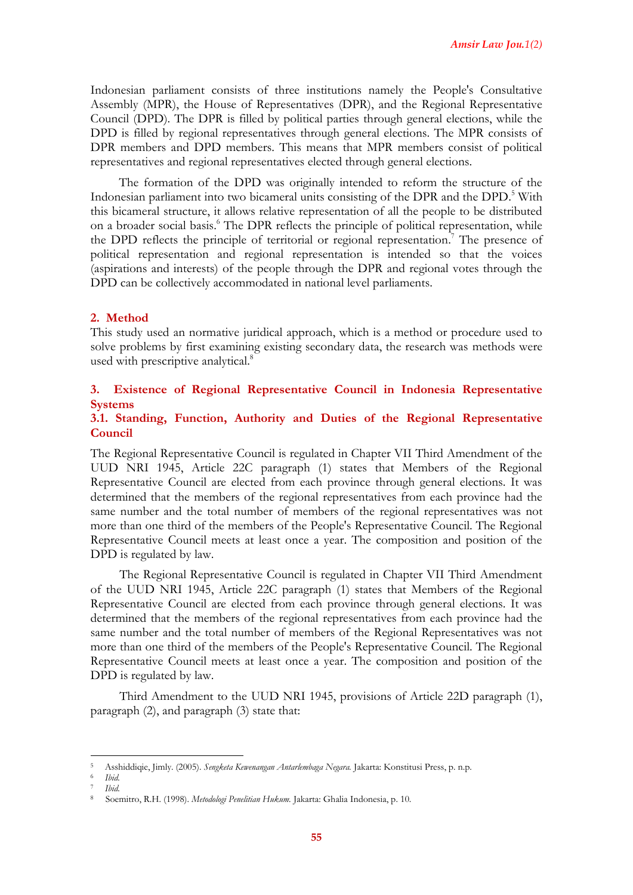Indonesian parliament consists of three institutions namely the People's Consultative Assembly (MPR), the House of Representatives (DPR), and the Regional Representative Council (DPD). The DPR is filled by political parties through general elections, while the DPD is filled by regional representatives through general elections. The MPR consists of DPR members and DPD members. This means that MPR members consist of political representatives and regional representatives elected through general elections.

The formation of the DPD was originally intended to reform the structure of the Indonesian parliament into two bicameral units consisting of the DPR and the DPD. <sup>5</sup> With this bicameral structure, it allows relative representation of all the people to be distributed on a broader social basis. <sup>6</sup> The DPR reflects the principle of political representation, while the DPD reflects the principle of territorial or regional representation.<sup>7</sup> The presence of political representation and regional representation is intended so that the voices (aspirations and interests) of the people through the DPR and regional votes through the DPD can be collectively accommodated in national level parliaments.

## **2. Method**

This study used an normative juridical approach, which is a method or procedure used to solve problems by first examining existing secondary data, the research was methods were used with prescriptive analytical.<sup>8</sup>

## **3. Existence of Regional Representative Council in Indonesia Representative Systems**

## **3.1. Standing, Function, Authority and Duties of the Regional Representative Council**

The Regional Representative Council is regulated in Chapter VII Third Amendment of the UUD NRI 1945, Article 22C paragraph (1) states that Members of the Regional Representative Council are elected from each province through general elections. It was determined that the members of the regional representatives from each province had the same number and the total number of members of the regional representatives was not more than one third of the members of the People's Representative Council. The Regional Representative Council meets at least once a year. The composition and position of the DPD is regulated by law.

The Regional Representative Council is regulated in Chapter VII Third Amendment of the UUD NRI 1945, Article 22C paragraph (1) states that Members of the Regional Representative Council are elected from each province through general elections. It was determined that the members of the regional representatives from each province had the same number and the total number of members of the Regional Representatives was not more than one third of the members of the People's Representative Council. The Regional Representative Council meets at least once a year. The composition and position of the DPD is regulated by law.

Third Amendment to the UUD NRI 1945, provisions of Article 22D paragraph (1), paragraph (2), and paragraph (3) state that:

**.** 

<sup>5</sup> Asshiddiqie, Jimly. (2005). *Sengketa Kewenangan Antarlembaga Negara.* Jakarta: Konstitusi Press, p. n.p.

<sup>6</sup> *Ibid.*

<sup>7</sup> *Ibid.*

<sup>8</sup> Soemitro, R.H. (1998). *Metodologi Penelitian Hukum.* Jakarta: Ghalia Indonesia, p. 10.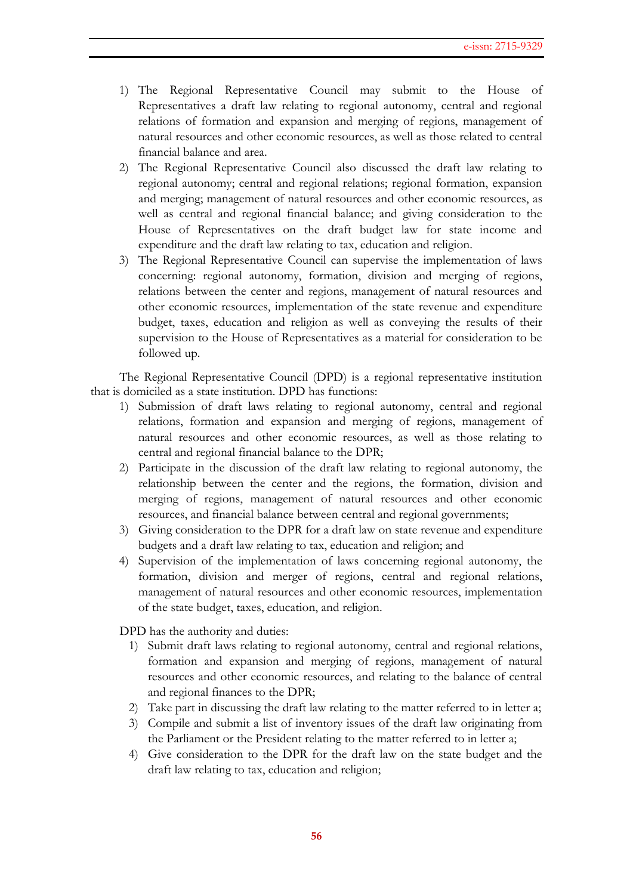- 1) The Regional Representative Council may submit to the House of Representatives a draft law relating to regional autonomy, central and regional relations of formation and expansion and merging of regions, management of natural resources and other economic resources, as well as those related to central financial balance and area.
- 2) The Regional Representative Council also discussed the draft law relating to regional autonomy; central and regional relations; regional formation, expansion and merging; management of natural resources and other economic resources, as well as central and regional financial balance; and giving consideration to the House of Representatives on the draft budget law for state income and expenditure and the draft law relating to tax, education and religion.
- 3) The Regional Representative Council can supervise the implementation of laws concerning: regional autonomy, formation, division and merging of regions, relations between the center and regions, management of natural resources and other economic resources, implementation of the state revenue and expenditure budget, taxes, education and religion as well as conveying the results of their supervision to the House of Representatives as a material for consideration to be followed up.

The Regional Representative Council (DPD) is a regional representative institution that is domiciled as a state institution. DPD has functions:

- 1) Submission of draft laws relating to regional autonomy, central and regional relations, formation and expansion and merging of regions, management of natural resources and other economic resources, as well as those relating to central and regional financial balance to the DPR;
- 2) Participate in the discussion of the draft law relating to regional autonomy, the relationship between the center and the regions, the formation, division and merging of regions, management of natural resources and other economic resources, and financial balance between central and regional governments;
- 3) Giving consideration to the DPR for a draft law on state revenue and expenditure budgets and a draft law relating to tax, education and religion; and
- 4) Supervision of the implementation of laws concerning regional autonomy, the formation, division and merger of regions, central and regional relations, management of natural resources and other economic resources, implementation of the state budget, taxes, education, and religion.

DPD has the authority and duties:

- 1) Submit draft laws relating to regional autonomy, central and regional relations, formation and expansion and merging of regions, management of natural resources and other economic resources, and relating to the balance of central and regional finances to the DPR;
- 2) Take part in discussing the draft law relating to the matter referred to in letter a;
- 3) Compile and submit a list of inventory issues of the draft law originating from the Parliament or the President relating to the matter referred to in letter a;
- 4) Give consideration to the DPR for the draft law on the state budget and the draft law relating to tax, education and religion;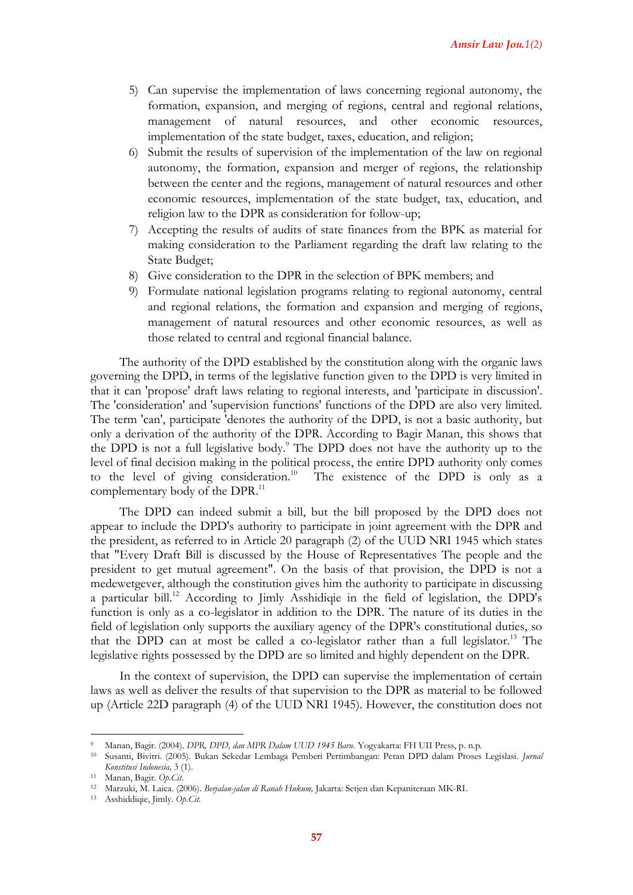- 5) Can supervise the implementation of laws concerning regional autonomy, the formation, expansion, and merging of regions, central and regional relations, management of natural resources, and other economic resources, implementation of the state budget, taxes, education, and religion;
- 6) Submit the results of supervision of the implementation of the law on regional autonomy, the formation, expansion and merger of regions, the relationship between the center and the regions, management of natural resources and other economic resources, implementation of the state budget, tax, education, and religion law to the DPR as consideration for follow-up;
- 7) Accepting the results of audits of state finances from the BPK as material for making consideration to the Parliament regarding the draft law relating to the State Budget;
- 8) Give consideration to the DPR in the selection of BPK members; and
- 9) Formulate national legislation programs relating to regional autonomy, central and regional relations, the formation and expansion and merging of regions, management of natural resources and other economic resources, as well as those related to central and regional financial balance.

The authority of the DPD established by the constitution along with the organic laws governing the DPD, in terms of the legislative function given to the DPD is very limited in that it can 'propose' draft laws relating to regional interests, and 'participate in discussion'. The 'consideration' and 'supervision functions' functions of the DPD are also very limited. The term 'can', participate 'denotes the authority of the DPD, is not a basic authority, but only a derivation of the authority of the DPR. According to Bagir Manan, this shows that the DPD is not a full legislative body.<sup>9</sup> The DPD does not have the authority up to the level of final decision making in the political process, the entire DPD authority only comes to the level of giving consideration. 10 The existence of the DPD is only as a complementary body of the DPR.<sup>11</sup>

The DPD can indeed submit a bill, but the bill proposed by the DPD does not appear to include the DPD's authority to participate in joint agreement with the DPR and the president, as referred to in Article 20 paragraph (2) of the UUD NRI 1945 which states that "Every Draft Bill is discussed by the House of Representatives The people and the president to get mutual agreement". On the basis of that provision, the DPD is not a medewetgever, although the constitution gives him the authority to participate in discussing a particular bill. <sup>12</sup> According to Jimly Asshidiqie in the field of legislation, the DPD's function is only as a co-legislator in addition to the DPR. The nature of its duties in the field of legislation only supports the auxiliary agency of the DPR's constitutional duties, so that the DPD can at most be called a co-legislator rather than a full legislator. <sup>13</sup> The legislative rights possessed by the DPD are so limited and highly dependent on the DPR.

In the context of supervision, the DPD can supervise the implementation of certain laws as well as deliver the results of that supervision to the DPR as material to be followed up (Article 22D paragraph (4) of the UUD NRI 1945). However, the constitution does not

 $\overline{a}$ <sup>9</sup> Manan, Bagir. (2004). *DPR, DPD, dan MPR Dalam UUD 1945 Baru.* Yogyakarta: FH UII Press, p. n.p.

<sup>10</sup> Susanti, Bivitri. (2005). Bukan Sekedar Lembaga Pemberi Pertimbangan: Peran DPD dalam Proses Legislasi. *Jurnal Konstitusi Indonesia,* 3 (1).

<sup>11</sup> Manan, Bagir. *Op.Cit.*

<sup>12</sup> Marzuki, M. Laica. (2006). *Berjalan-jalan di Ranah Hukum,* Jakarta: Setjen dan Kepaniteraan MK-RI.

<sup>13</sup> Asshiddiqie, Jimly. *Op.Cit.*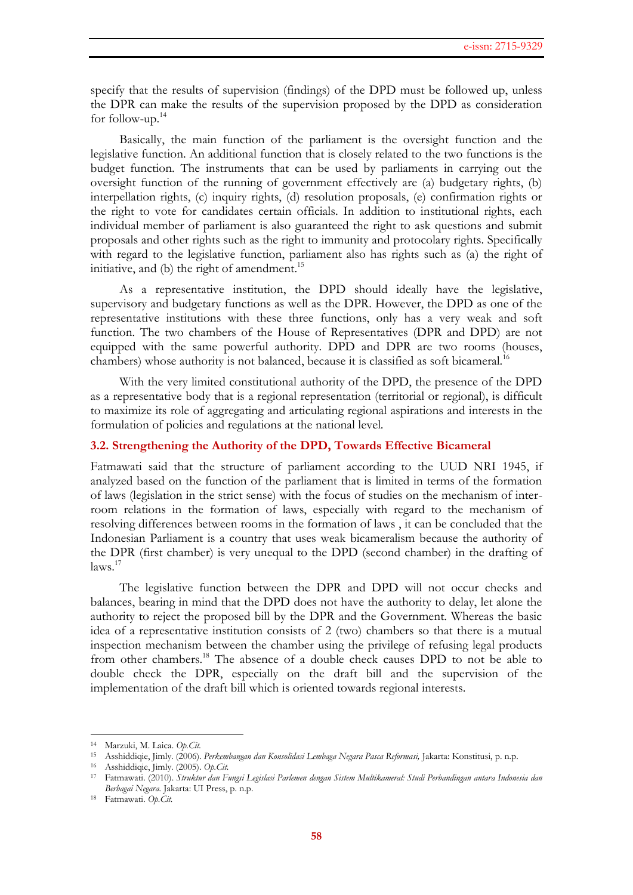specify that the results of supervision (findings) of the DPD must be followed up, unless the DPR can make the results of the supervision proposed by the DPD as consideration for follow-up. 14

Basically, the main function of the parliament is the oversight function and the legislative function. An additional function that is closely related to the two functions is the budget function. The instruments that can be used by parliaments in carrying out the oversight function of the running of government effectively are (a) budgetary rights, (b) interpellation rights, (c) inquiry rights, (d) resolution proposals, (e) confirmation rights or the right to vote for candidates certain officials. In addition to institutional rights, each individual member of parliament is also guaranteed the right to ask questions and submit proposals and other rights such as the right to immunity and protocolary rights. Specifically with regard to the legislative function, parliament also has rights such as (a) the right of initiative, and (b) the right of amendment.<sup>15</sup>

As a representative institution, the DPD should ideally have the legislative, supervisory and budgetary functions as well as the DPR. However, the DPD as one of the representative institutions with these three functions, only has a very weak and soft function. The two chambers of the House of Representatives (DPR and DPD) are not equipped with the same powerful authority. DPD and DPR are two rooms (houses, chambers) whose authority is not balanced, because it is classified as soft bicameral.<sup>16</sup>

With the very limited constitutional authority of the DPD, the presence of the DPD as a representative body that is a regional representation (territorial or regional), is difficult to maximize its role of aggregating and articulating regional aspirations and interests in the formulation of policies and regulations at the national level.

## **3.2. Strengthening the Authority of the DPD, Towards Effective Bicameral**

Fatmawati said that the structure of parliament according to the UUD NRI 1945, if analyzed based on the function of the parliament that is limited in terms of the formation of laws (legislation in the strict sense) with the focus of studies on the mechanism of interroom relations in the formation of laws, especially with regard to the mechanism of resolving differences between rooms in the formation of laws , it can be concluded that the Indonesian Parliament is a country that uses weak bicameralism because the authority of the DPR (first chamber) is very unequal to the DPD (second chamber) in the drafting of laws. 17

The legislative function between the DPR and DPD will not occur checks and balances, bearing in mind that the DPD does not have the authority to delay, let alone the authority to reject the proposed bill by the DPR and the Government. Whereas the basic idea of a representative institution consists of 2 (two) chambers so that there is a mutual inspection mechanism between the chamber using the privilege of refusing legal products from other chambers.<sup>18</sup> The absence of a double check causes DPD to not be able to double check the DPR, especially on the draft bill and the supervision of the implementation of the draft bill which is oriented towards regional interests.

 $\overline{a}$ 

<sup>14</sup> Marzuki, M. Laica. *Op.Cit.*

<sup>15</sup> Asshiddiqie, Jimly. (2006). *Perkembangan dan Konsolidasi Lembaga Negara Pasca Reformasi,* Jakarta: Konstitusi, p. n.p.

<sup>16</sup> Asshiddiqie, Jimly. (2005). *Op.Cit.*

<sup>17</sup> Fatmawati. (2010). *Struktur dan Fungsi Legislasi Parlemen dengan Sistem Multikameral: Studi Perbandingan antara Indonesia dan Berbagai Negara.* Jakarta: UI Press, p. n.p.

<sup>18</sup> Fatmawati. *Op.Cit.*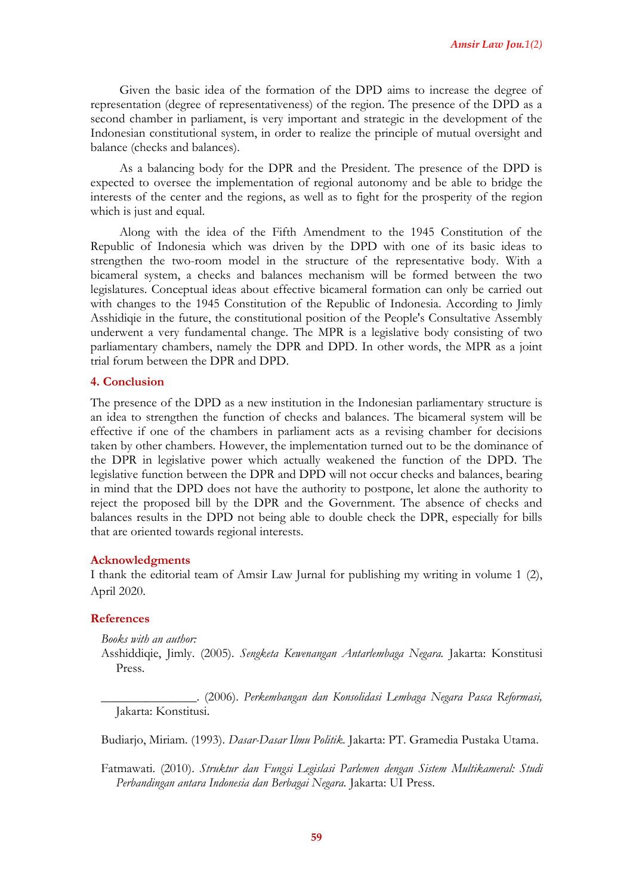Given the basic idea of the formation of the DPD aims to increase the degree of representation (degree of representativeness) of the region. The presence of the DPD as a second chamber in parliament, is very important and strategic in the development of the Indonesian constitutional system, in order to realize the principle of mutual oversight and balance (checks and balances).

As a balancing body for the DPR and the President. The presence of the DPD is expected to oversee the implementation of regional autonomy and be able to bridge the interests of the center and the regions, as well as to fight for the prosperity of the region which is just and equal.

Along with the idea of the Fifth Amendment to the 1945 Constitution of the Republic of Indonesia which was driven by the DPD with one of its basic ideas to strengthen the two-room model in the structure of the representative body. With a bicameral system, a checks and balances mechanism will be formed between the two legislatures. Conceptual ideas about effective bicameral formation can only be carried out with changes to the 1945 Constitution of the Republic of Indonesia. According to Jimly Asshidiqie in the future, the constitutional position of the People's Consultative Assembly underwent a very fundamental change. The MPR is a legislative body consisting of two parliamentary chambers, namely the DPR and DPD. In other words, the MPR as a joint trial forum between the DPR and DPD.

## **4. Conclusion**

The presence of the DPD as a new institution in the Indonesian parliamentary structure is an idea to strengthen the function of checks and balances. The bicameral system will be effective if one of the chambers in parliament acts as a revising chamber for decisions taken by other chambers. However, the implementation turned out to be the dominance of the DPR in legislative power which actually weakened the function of the DPD. The legislative function between the DPR and DPD will not occur checks and balances, bearing in mind that the DPD does not have the authority to postpone, let alone the authority to reject the proposed bill by the DPR and the Government. The absence of checks and balances results in the DPD not being able to double check the DPR, especially for bills that are oriented towards regional interests.

## **Acknowledgments**

I thank the editorial team of Amsir Law Jurnal for publishing my writing in volume 1 (2), April 2020.

## **References**

*Books with an author:*

Asshiddiqie, Jimly. (2005). *Sengketa Kewenangan Antarlembaga Negara.* Jakarta: Konstitusi Press.

\_\_\_\_\_\_\_\_\_\_\_\_\_\_\_. (2006). *Perkembangan dan Konsolidasi Lembaga Negara Pasca Reformasi,*  Jakarta: Konstitusi.

Budiarjo, Miriam. (1993). *Dasar-Dasar Ilmu Politik.* Jakarta: PT. Gramedia Pustaka Utama.

Fatmawati. (2010). *Struktur dan Fungsi Legislasi Parlemen dengan Sistem Multikameral: Studi Perbandingan antara Indonesia dan Berbagai Negara.* Jakarta: UI Press.